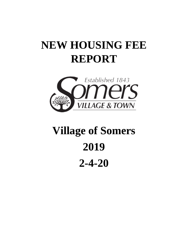# **NEW HOUSING FEE REPORT**



# **Village of Somers 2019 2-4-20**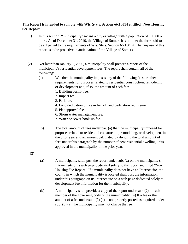#### **This Report is intended to comply with Wis. Stats. Section 66.10014 entitled "New Housing Fee Report":**

- (1) In this section, "municipality" means a city or village with a population of 10,000 or more. As of December 31, 2019, the Village of Somers has not met the threshold to be subjected to the requirements of Wis. Stats. Section 66.10014. The purpose of this report is to be proactive in anticipation of the Village of Somers
- (2) Not later than January 1, 2020, a municipality shall prepare a report of the municipality's residential development fees. The report shall contain all of the following:
	- (a) Whether the municipality imposes any of the following fees or other requirements for purposes related to residential construction, remodeling, or development and, if so, the amount of each fee:
		- 1. Building permit fee.
		- 2. Impact fee.
		- 3. Park fee.
		- 4. Land dedication or fee in lieu of land dedication requirement.
		- 5. Plat approval fee.
		- 6. Storm water management fee.
		- 7. Water or sewer hook-up fee.
	- (b) The total amount of fees under par. (a) that the municipality imposed for purposes related to residential construction, remodeling, or development in the prior year and an amount calculated by dividing the total amount of fees under this paragraph by the number of new residential dwelling units approved in the municipality in the prior year.

(3)

- (a) A municipality shall post the report under sub. (2) on the municipality's Internet site on a web page dedicated solely to the report and titled "New Housing Fee Report." If a municipality does not have an Internet site, the county in which the municipality is located shall post the information under this paragraph on its Internet site on a web page dedicated solely to development fee information for the municipality.
- (b) A municipality shall provide a copy of the report under sub. (2) to each member of the governing body of the municipality. (4) If a fee or the amount of a fee under sub. (2) (a) is not properly posted as required under sub. (3) (a), the municipality may not charge the fee.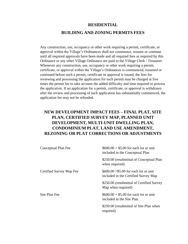#### **RESIDENTIAL**

#### **BUILDING AND ZONING PERMITS FEES**

Any construction, use, occupancy or other work requiring a permit, certificate, or approval within the Village's Ordinances shall not commence, resume or continue until all required approvals have been made and all required fees as required by this Ordinance or any other Village Ordinance are paid to the Village Clerk / Treasurer. Whenever any construction, use, occupancy or other work requiring a permit, certificate, or approval within the Village's Ordinances is commenced, resumed or continued before such a permit, certificate or approval is issued, the fees for reviewing and processing the application for such permit may be charged at five times the permit fee to take account the added difficulty and time required to process the application. If an application for a permit, certificate, or approval is withdrawn after the review and processing of such application has substantially commenced, the application fee may not be refunded.

# **NEW DEVELOPMENT IMPACT FEES – FINAL PLAT, SITE PLAN, CERTIFIED SURVEY MAP, PLANNED UNIT DEVELOPMENT, MULTI-UNIT DWELLING PLAN, CONDOMINIUM PLAT, LAND USE AMENDMENT, REZONING OR PLAT CORRECTIONS OR ADJUSTMENTS**

| Conceptual Plan Fee      | $$600.00 + $5.00$ for each lot or unit<br>included in the Conceptual Plan      |
|--------------------------|--------------------------------------------------------------------------------|
|                          | \$250.00 (resubmittal of Conceptual Plan<br>when required)                     |
| Certified Survey Map Fee | $$600.00 + $5.00$ for each lot or unit<br>included in the Certified Survey Map |
|                          | \$250.00 (resubmittal of Certified Survey<br>Map when required)                |
| Site Plan Fee            | $$600.00 + $5.00$ for each lot or unit<br>included in the Site Plan            |
|                          | \$250.00 (resubmittal of Site Plan when<br>required)                           |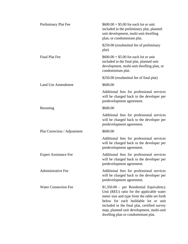| Preliminary Plat Fee         | $$600.00 + $5.00$ for each lot or unit<br>included in the preliminary plat, planned<br>unit development, multi-unit dwelling<br>plan, or condominium plat.                                                                                                                                                       |
|------------------------------|------------------------------------------------------------------------------------------------------------------------------------------------------------------------------------------------------------------------------------------------------------------------------------------------------------------|
|                              | \$250.00 (resubmittal fee of preliminary<br>plat)                                                                                                                                                                                                                                                                |
| <b>Final Plat Fee</b>        | $$600.00 + $5.00$ for each lot or unit<br>included in the final plat, planned unit<br>development, multi-unit dwelling plan, or<br>condominium plat.                                                                                                                                                             |
|                              | \$250.00 (resubmittal fee of final plat)                                                                                                                                                                                                                                                                         |
| <b>Land Use Amendment</b>    | \$600.00                                                                                                                                                                                                                                                                                                         |
|                              | Additional fees for professional services<br>will be charged back to the developer per<br>predevelopment agreement.                                                                                                                                                                                              |
| Rezoning                     | \$600.00                                                                                                                                                                                                                                                                                                         |
|                              | Additional fees for professional services<br>will be charged back to the developer per<br>predevelopment agreement.                                                                                                                                                                                              |
| Plat Correction / Adjustment | \$600.00                                                                                                                                                                                                                                                                                                         |
|                              | Additional fees for professional services<br>will be charged back to the developer per<br>predevelopment agreement.                                                                                                                                                                                              |
| <b>Expert Assistance Fee</b> | Additional fees for professional services<br>will be charged back to the developer per<br>predevelopment agreement.                                                                                                                                                                                              |
| <b>Administrative Fee</b>    | Additional fees for professional services<br>will be charged back to the developer per<br>predevelopment agreement.                                                                                                                                                                                              |
| <b>Water Connection Fee</b>  | \$1,350.00 - per Residential Equivalency<br>Unit (REU) ratio for the applicable water<br>meter size and type from the table set forth<br>below for each buildable lot or unit<br>included in the final plat, certified survey<br>map, planned unit development, multi-unit<br>dwelling plan or condominium plat. |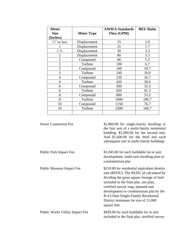| <b>Meter</b><br><b>Size</b> | <b>Meter Type</b> | <b>AWWA Standards</b><br>Flow (GPM) | <b>REU Ratio</b> |
|-----------------------------|-------------------|-------------------------------------|------------------|
| (Inches)                    |                   |                                     |                  |
| $\frac{3}{4}$ " or less     | Displacement      | 15                                  | 1.0              |
|                             | Displacement      | 25                                  | 1.7              |
| $1\frac{1}{2}$              | Displacement      | 50                                  | 3.3              |
| $\overline{2}$              | Displacement      | 80                                  | 5.3              |
| $\overline{2}$              | Compound          | 80                                  | 5.3              |
| $\overline{2}$              | Turbine           | 100                                 | 6.7              |
| 3                           | Compound          | 160                                 | 10.7             |
| 3                           | Turbine           | 240                                 | 16.0             |
| $\overline{4}$              | Compound          | 250                                 | 16.7             |
| $\overline{4}$              | Turbine           | 420                                 | 28.0             |
| 6                           | Compound          | 500                                 | 33.3             |
| 6                           | Turbine           | 920                                 | 61.3             |
| 8                           | Compound          | 800                                 | 53.3             |
| 8                           | Turbine           | 1600                                | 106.7            |
| 10                          | Compound          | 1150                                | 76.7             |
| 10                          | Turbine           | 2500                                | 166.7            |
|                             |                   |                                     |                  |

| <b>Sewer Connection Fee</b>            | \$2,800.00 for single-family dwelling or<br>the first unit of a multi-family residential<br>building. \$2,000.00 for the second unit.<br>And \$1,600.00 for the third and each<br>subsequent unit in multi-family buildings                                                                                                                                |
|----------------------------------------|------------------------------------------------------------------------------------------------------------------------------------------------------------------------------------------------------------------------------------------------------------------------------------------------------------------------------------------------------------|
| Public Park Impact Fee                 | \$1,045.00 for each buildable lot or unit<br>development, multi-unit dwelling plan or<br>condominium plat.                                                                                                                                                                                                                                                 |
| Public Museum Impact Fee               | \$210.00 for residential equivalent density<br>unit (REDU). The REDU id calculated by<br>dividing the gross square footage of land<br>included in the final plat, site plan,<br>certified survey map, planned unit<br>development or condominium plat by the<br>R-4 Urban Single-Family Residential<br>District minimum lot size of 15,000<br>square feet. |
| <b>Public Works Utility Impact Fee</b> | \$430.00 for each buildable lot or unit<br>included in the final plat, certified survey                                                                                                                                                                                                                                                                    |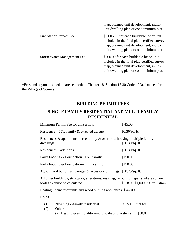|                            | map, planned unit development, multi-<br>unit dwelling plan or condominium plat.                                                                                              |
|----------------------------|-------------------------------------------------------------------------------------------------------------------------------------------------------------------------------|
| Fire Station Impact Fee    | \$2,005.00 for each buildable lot or unit<br>included in the final plat, certified survey<br>map, planned unit development, multi-<br>unit dwelling plan or condominium plat. |
| Storm Water Management Fee | \$900.00 for each buildable lot or unit<br>included in the final plat, certified survey<br>map, planned unit development, multi-<br>unit dwelling plan or condominium plat.   |

\*Fees and payment schedule are set forth in Chapter 18, Section 18.30 Code of Ordinances for the Village of Somers

#### **BUILDING PERMIT FEES**

# **SINGLE FAMILY RESIDENTIAL AND MULTI-FAMILY RESIDENTIAL**

|             | Minimum Permit Fee for all Permits                                                                                      | \$45.00           |                            |
|-------------|-------------------------------------------------------------------------------------------------------------------------|-------------------|----------------------------|
|             | Residence – $1&2$ family & attached garage                                                                              | $$0.30/sq.$ ft.   |                            |
| dwellings   | Residences $\&$ apartments, three family $\&$ over, row housing, multiple family                                        | \$0.30/sq. ft.    |                            |
|             | Residences – additions                                                                                                  | \$0.30/sq. ft.    |                            |
|             | Early Footing & Foundation– $1&2$ family                                                                                | \$150.00          |                            |
|             | Early Footing & Foundation– multi-family                                                                                | \$150.00          |                            |
|             | Agricultural buildings, garages $\&$ accessory buildings $\$$ 0.25/sq. ft.                                              |                   |                            |
|             | All other buildings, structures, alterations, residing, reroofing, repairs where square<br>footage cannot be calculated | S.                | 8.00/\$1,000,000 valuation |
|             | Heating, incinerator units and wood burning appliances \$45.00                                                          |                   |                            |
| <b>HVAC</b> |                                                                                                                         |                   |                            |
| (1)<br>(2)  | New single-family residential<br>Other                                                                                  | \$150.00 flat fee |                            |
|             | (a) Heating $\&$ air conditioning distributing systems                                                                  |                   | \$50.00                    |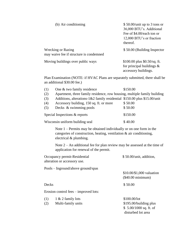| (b) Air conditioning                                                                                          | $$50.00$ /unit up to 3 tons or<br>36,000 BTU's. Additional |
|---------------------------------------------------------------------------------------------------------------|------------------------------------------------------------|
|                                                                                                               | Fee of \$4.00/each ton or                                  |
|                                                                                                               | 12,000 BTU's or fraction                                   |
|                                                                                                               | thereof.                                                   |
| <b>Wrecking or Razing</b><br>may waive fee if structure is condemned                                          | \$50.00 (Building Inspector                                |
| Moving buildings over public ways                                                                             | $$100.00$ plus $$0.50$ /sq. ft.                            |
|                                                                                                               | for principal buildings $\&$                               |
|                                                                                                               | accessory buildings.                                       |
| Plan Examination (NOTE: if HVAC Plans are separately submitted, there shall be<br>an additional \$30.00 fee.) |                                                            |
|                                                                                                               |                                                            |

| (1)                                | One & two family residence                                                                                                                                              | \$150.00                  |  |
|------------------------------------|-------------------------------------------------------------------------------------------------------------------------------------------------------------------------|---------------------------|--|
| (2)                                | Apartment, three family residence, row housing, multiple family building                                                                                                |                           |  |
| (3)                                | Additions, alterations-1&2 family residential \$150.00 plus \$15.00/unit                                                                                                |                           |  |
| (4)                                | Accessory building, 150 sq. ft. or more                                                                                                                                 | \$50.00                   |  |
| (5)                                | Decks & swimming pools                                                                                                                                                  | \$50.00                   |  |
|                                    | Special Inspections & reports                                                                                                                                           | \$150.00                  |  |
|                                    | Wisconsin uniform building seal                                                                                                                                         | \$40.00                   |  |
|                                    | Note $1$ – Permits may be obtained individually or on one form in the<br>categories of construction, heating, ventilation & air conditioning,<br>electrical & plumbing. |                           |  |
|                                    | Note $2 - An$ additional fee for plan review may be assessed at the time of<br>application for renewal of the permit.                                                   |                           |  |
|                                    | Occupancy permit-Residential<br>alteration or accessory use.                                                                                                            | \$50.00/unit, addition,   |  |
| Pools – Inground/above ground/spas |                                                                                                                                                                         |                           |  |
|                                    |                                                                                                                                                                         | \$10.00/\$1,000 valuation |  |
|                                    |                                                                                                                                                                         | $(\$40.00$ minimum)       |  |
| Decks                              |                                                                                                                                                                         | \$50.00                   |  |
|                                    | Erosion control fees $-$ improved lots:                                                                                                                                 |                           |  |

| (1) | $1 & 2$ family lots | \$100.00/lot            |
|-----|---------------------|-------------------------|
| (2) | Multi-family units  | \$195.00/building plus  |
|     |                     | $$5.00/1000$ sq. ft. of |
|     |                     | disturbed lot area      |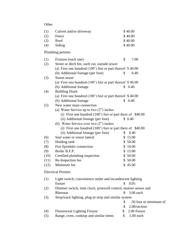**Other** 

| (1)  | Culvert and/or driveway                                             |              | \$40.00                |
|------|---------------------------------------------------------------------|--------------|------------------------|
| (2)  | Fence                                                               |              | \$40.00                |
| (3)  | Roof                                                                |              | \$40.00                |
| (4)  | Siding                                                              |              | \$40.00                |
|      | Plumbing permits                                                    |              |                        |
| (1)  | Fixtures (each one)                                                 | \$           | 7.00                   |
| (2)  | Street or ditch fee, each cut, outside sewer                        |              |                        |
|      | (a) First one hundred $(100^{\circ})$ feet or part thereof \$40.00  |              |                        |
|      | (b) Additional footage (per foot)                                   | \$           | 0.40                   |
| (3)  | Storm sewer                                                         |              |                        |
|      | (a) First one hundred $(100^{\circ})$ feet or part thereof \$40.00  |              |                        |
|      | (b) Additional footage                                              | \$           | 0.40                   |
| (4)  | <b>Building Drain</b>                                               |              |                        |
|      | (a) First one hundred $(100^{\circ})$ feet or part thereof \$40.00  |              |                        |
|      | (b) Additional footage                                              |              | \$0.40                 |
| (5)  | New water main connection                                           |              |                        |
|      | (a) Water Service up to two $(2)$ inches                            |              |                        |
|      | (i) First one hundred $(100^{\circ})$ feet or part there of \$40.00 |              |                        |
|      | (ii) Additional footage (per foot)                                  |              | \$0.40                 |
|      | (b) Water Service over two $(2")$ inches                            |              |                        |
|      | (i) First one hundred $(100)$ feet or part there of \$40.00         |              |                        |
|      | (ii) Additional footage (per foot)                                  | \$           | 0.40                   |
| (6)  | Seal water or sewer lateral                                         |              | \$15.00                |
| (7)  | Holding tank                                                        |              | \$50.00                |
| (8)  | Fire Sprinkler connection                                           |              | \$10.00                |
| (9)  | Boiler B.F.P.                                                       |              | \$15.00                |
| (10) | Certified plumbing inspection                                       |              | \$50.00                |
| (11) | Re-Inspection fee                                                   |              | \$50.00                |
| (12) | Minimum fee                                                         |              | \$45.00                |
|      | <b>Electrical Permits</b>                                           |              |                        |
| (1)  | Light switch, convenience outlet and incandescent lighting          |              |                        |
|      | fixture                                                             | \$           | 0.05                   |
| (2)  | Dimmer switch, time clock, protocell control, motion sensor and     |              |                        |
|      | Rheostat                                                            | $\mathbb{S}$ | 3.00 each              |
| (3)  | Strip/track lighting, plug-in strip and similar system              |              |                        |
|      |                                                                     | \$           | .50 foot or minimum of |
|      |                                                                     | \$           | 2.00/section           |
| (4)  | <b>Fluorescent Lighting Fixture</b>                                 | \$           | 2.00 fixture           |
| (5)  | Range, oven, cooktop and similar items                              | \$           | 5.00 each              |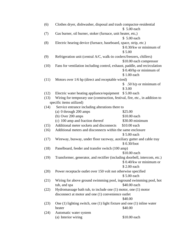| (6)  | Clothes dryer, dishwasher, disposal and trash compactor-residential<br>\$5.00 each |                          |  |
|------|------------------------------------------------------------------------------------|--------------------------|--|
| (7)  | Gas burner, oil burner, stoker (furnace, unit heater, etc,)                        |                          |  |
|      |                                                                                    | \$ 5.00 each             |  |
| (8)  | Electric hearing device (furnace, baseboard, space, strip, etc.)                   |                          |  |
|      |                                                                                    | $$0.30/kw$ or minimum of |  |
|      |                                                                                    | \$5.00                   |  |
| (9)  | Refrigeration unit (central A/C, walk-in coolers/freezers, chillers)               |                          |  |
|      |                                                                                    | \$10.00 each compressor  |  |
| (10) | Fans for ventilation including control, exhaust, paddle, and recirculation         | \$ 0.40/hp or minimum of |  |
|      |                                                                                    | \$1.00 each              |  |
| (11) | Motors over 1/6 hp (direct and receptable wired)                                   |                          |  |
|      |                                                                                    | \$ .50 h/p or minimum of |  |
|      |                                                                                    | \$3.00                   |  |
| (12) | Electric water heating appliance/equipment                                         | \$5.00 each              |  |
| (13) | Wiring for temporary use (construction, festival, fire, etc., in addition to       |                          |  |
|      | specific items utilized)                                                           |                          |  |
| (14) | Service entrance including alterations there to                                    |                          |  |
|      | (a) 0 through 200 amps                                                             | \$25.00                  |  |
|      | (b) Over 200 amps                                                                  | \$10.00 each             |  |
|      | (c) 100 amp and fraction thereof                                                   | \$30.00 minimum          |  |
| (15) | Additional meter sockets and disconnects                                           | \$10.00 each             |  |
| (16) | Additional meters and disconnects within the same enclosure                        |                          |  |
|      |                                                                                    | \$5.00 each              |  |
| (17) | Wireway, busway, under floor raceway, auxiliary gutter and cable tray              | \$0.30/foot              |  |
| (18) | Panelboard, feeder and transfer switch (100 amp)                                   |                          |  |
|      |                                                                                    | \$10.00 each             |  |
| (19) | Transformer, generator, and rectifier (including doorbell, intercom, etc.)         | \$0.40/kw or minimum or  |  |
|      |                                                                                    | \$2.00 each              |  |
| (20) | Power receptacle outlet over 150 volt not otherwise specified                      | \$5.00 each              |  |
| (21) | Wiring for above ground swimming pool, inground swimming pool, hot                 |                          |  |
|      | tub, and spa                                                                       | \$40.00 each             |  |
| (22) | Hydromassage bath tub, to include one (1) motor, one (1) motor                     |                          |  |
|      | disconnect at motor and one (1) convenience outlet                                 |                          |  |
|      |                                                                                    | \$40.00                  |  |
| (23) | One $(1)$ lighting switch, one $(1)$ light fixture and one $(1)$ in line water     |                          |  |
|      | heater                                                                             | \$40.00                  |  |
| (24) | Automatic water system                                                             |                          |  |
|      | (a) Interior wiring                                                                | \$10.00 each             |  |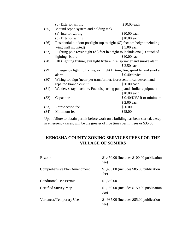|      | (b) Exterior wiring                                                           | \$10.00 each           |
|------|-------------------------------------------------------------------------------|------------------------|
| (25) | Mound septic system and holding tank                                          |                        |
|      | (a) Interior wiring                                                           | \$10.00 each           |
|      | (b) Exterior wiring                                                           | \$10.00 each           |
| (26) | Residential outdoor postlight (up to eight (8') feet om height including      |                        |
|      | wing wall mounted)                                                            | \$5.00 each            |
| (27) | Lighting pole (over eight $(8')$ feet in height to include one $(1)$ attached |                        |
|      | lighting fixture                                                              | \$10.00 each           |
| (28) | HID lighting fixture, exit light fixture, fire, sprinkler and smoke alarm     |                        |
|      |                                                                               | \$2.50 each            |
| (29) | Emergency lighting fixture, exit light fixture, fire, sprinkler and smoke     |                        |
|      | alarm                                                                         | $$0.40$ /device        |
| (30) | Wiring for sign (neon-per transformer, florescent, incandescent and           |                        |
|      | repaired branch circuit                                                       | \$20.00 each           |
| (31) | Welder, x-ray machine. Fuel dispensing pump and similar equipment             |                        |
|      |                                                                               | \$10.00 each           |
| (32) | Capacitor                                                                     | \$0.40/KVAR or minimum |
|      |                                                                               | \$2.00 each            |
| (33) | Reinspection fee                                                              | \$50.00                |
| (34) | Minimum fee                                                                   | \$45.00                |
|      |                                                                               |                        |

Upon failure to obtain permit before work on a building has been started, except in emergency cases, will be the greater of five times permit fees or \$35.00

# **KENOSHA COUNTY ZONING SERVICES FEES FOR THE VILLAGE OF SOMERS**

| Rezone                        | $$1,450.00$ (includes $$100.00$ publication<br>fee) |
|-------------------------------|-----------------------------------------------------|
| Comprehensive Plan Amendment  | $$1,435.00$ (includes $$85.00$ publication<br>fee)  |
| <b>Conditional Use Permit</b> | \$1,350.00                                          |
| Certified Survey Map          | $$1,150.00$ (includes $$150.00$ publication<br>fee) |
| Variances/Temporary Use       | 985.00 (includes \$85.00 publication<br>S.<br>fee)  |